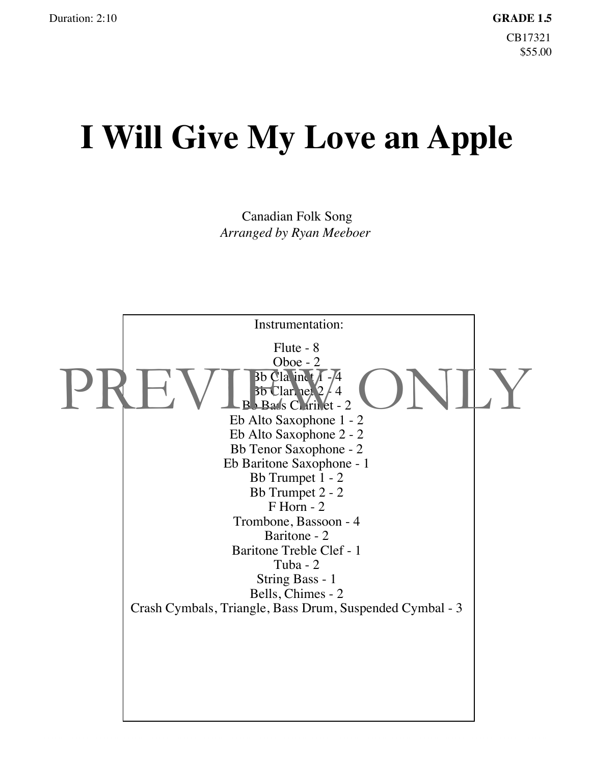## **I Will Give My Love an Apple**

*Arranged by Ryan Meeboer* Canadian Folk Song

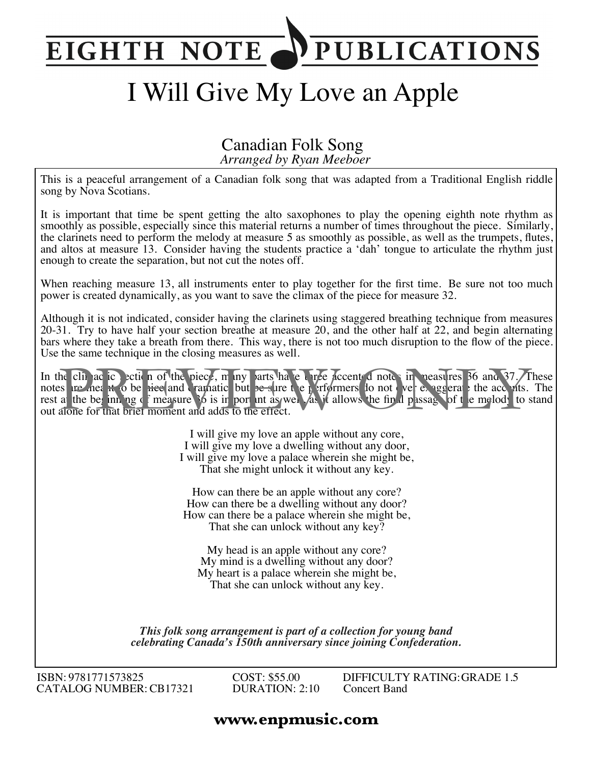## PUBLICATIONS **EIGHTH NOTE**

## I Will Give My Love an Apple

*Arranged by Ryan Meeboer* Canadian Folk Song

This is a peaceful arrangement of a Canadian folk song that was adapted from a Traditional English riddle song by Nova Scotians.

It is important that time be spent getting the alto saxophones to play the opening eighth note rhythm as smoothly as possible, especially since this material returns a number of times throughout the piece. Similarly, the clarinets need to perform the melody at measure 5 as smoothly as possible, as well as the trumpets, flutes, and altos at measure 13. Consider having the students practice a 'dah' tongue to articulate the rhythm just enough to create the separation, but not cut the notes off.

When reaching measure 13, all instruments enter to play together for the first time. Be sure not too much power is created dynamically, as you want to save the climax of the piece for measure 32.

Although it is not indicated, consider having the clarinets using staggered breathing technique from measures 20-31. Try to have half your section breathe at measure 20, and the other half at 22, and begin alternating bars where they take a breath from there. This way, there is not too much disruption to the flow of the piece. Use the same technique in the closing measures as well.

In the climac ic section of the piece, many parts have three accented notes in measures 36 and 37. These notes re meant to be nice and dramatic, but be sure the performers do not we exaggerate the accents. The rest at the beginning of measure  $36$  is in port int as well, as it allows the final passage of the melody to stand out alone for that brief moment and adds to the effect. The clin ac ic ection of the piece, m my parts have a tree accent d note in heast res 36 and 37. It is a reference and cranatic but be sure to a reference to not be experiented to the contract at the beginning of measure 3

> I will give my love an apple without any core, I will give my love a dwelling without any door, I will give my love a palace wherein she might be, That she might unlock it without any key.

How can there be an apple without any core? How can there be a dwelling without any door? How can there be a palace wherein she might be, That she can unlock without any key?

My head is an apple without any core? My mind is a dwelling without any door? My heart is a palace wherein she might be, That she can unlock without any key.

*This folk song arrangement is part of a collection for young band celebrating Canada's 150th anniversary since joining Confederation.*

ISBN: 9781771573825 CATALOG NUMBER:CB17321 COST: \$55.00 DURATION: 2:10 DIFFICULTY RATING:GRADE 1.5 Concert Band

## **www.enpmusic.com**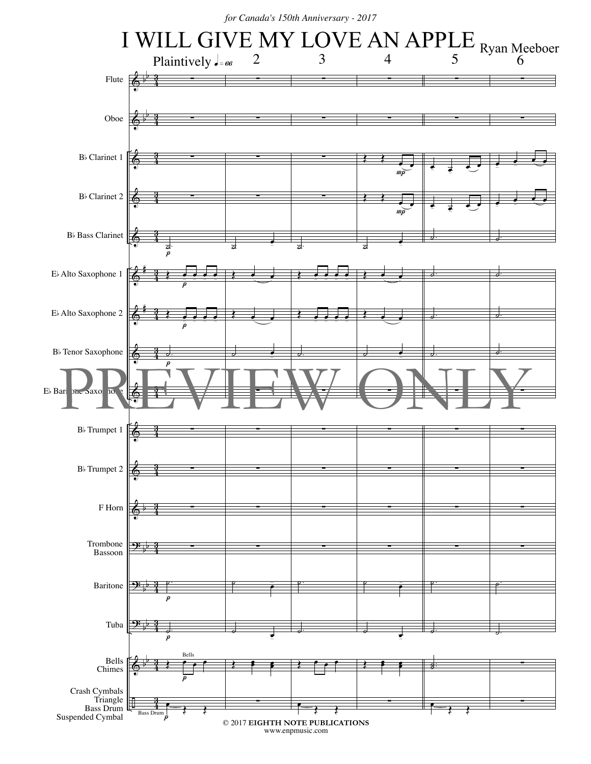*for Canada's 150th Anniversary - 2017*

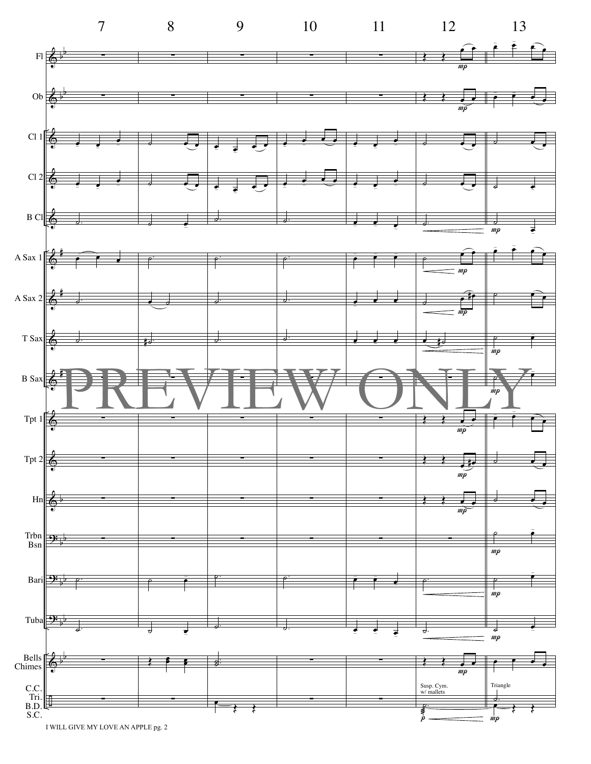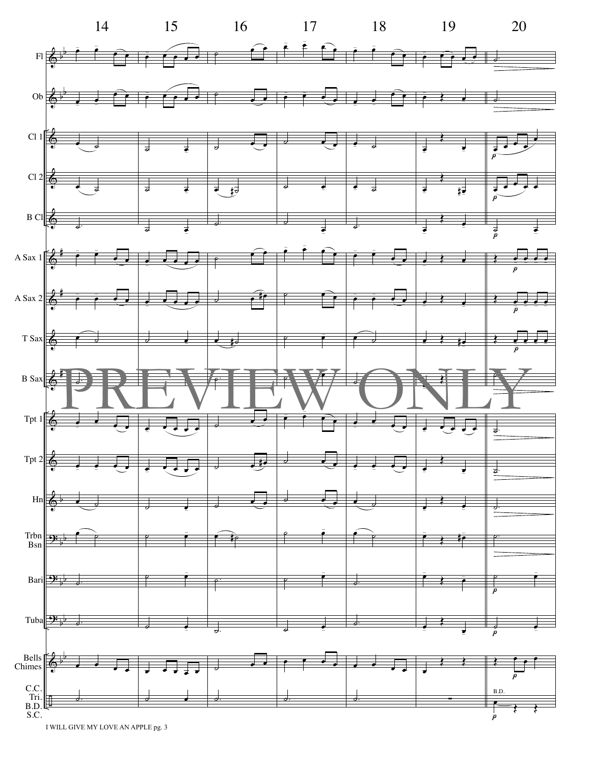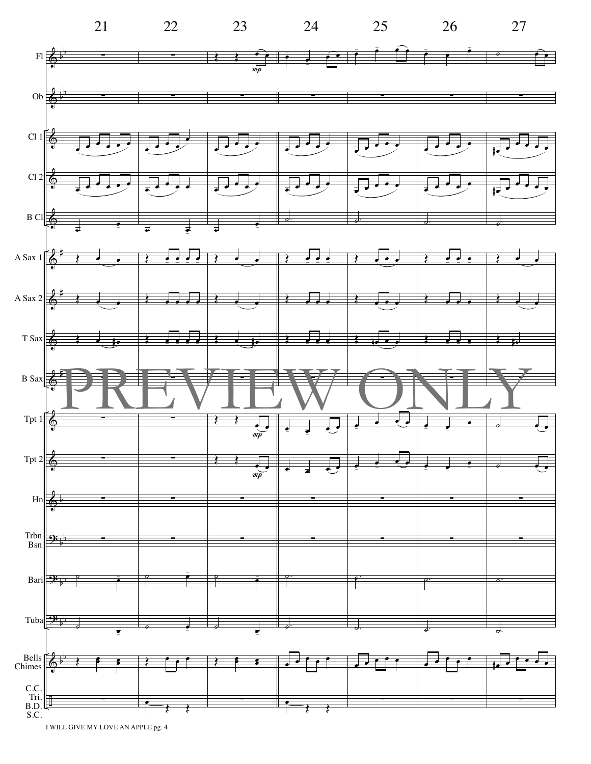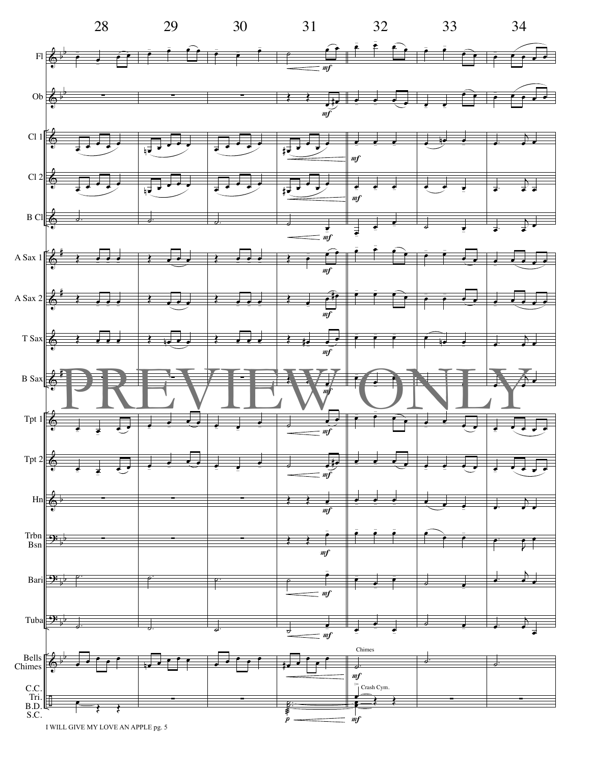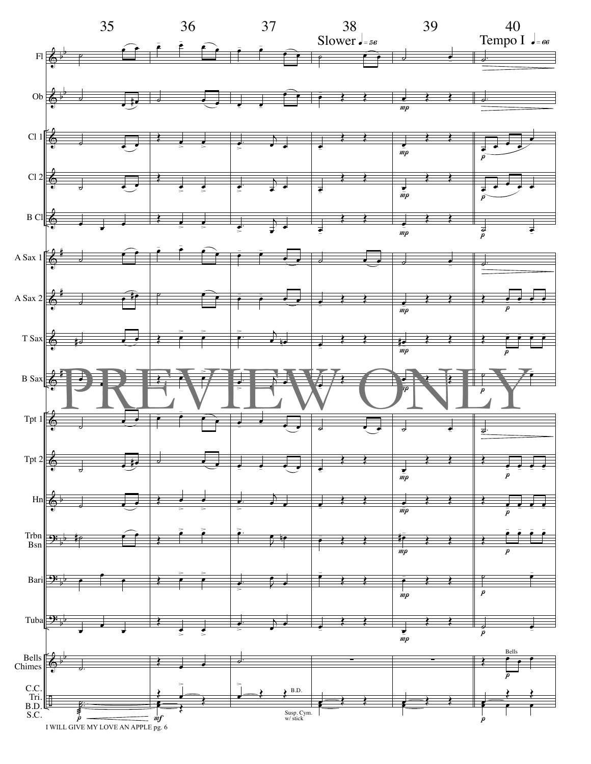